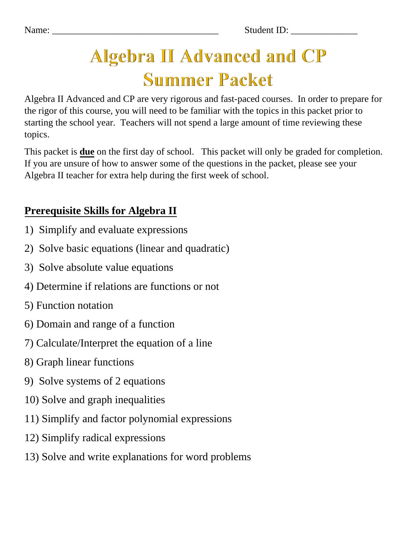Name: Student ID:

# **Algebra II Advanced and CP Summer Packet**

Algebra II Advanced and CP are very rigorous and fast-paced courses. In order to prepare for the rigor of this course, you will need to be familiar with the topics in this packet prior to starting the school year. Teachers will not spend a large amount of time reviewing these topics.

This packet is **due** on the first day of school.This packet will only be graded for completion. If you are unsure of how to answer some of the questions in the packet, please see your Algebra II teacher for extra help during the first week of school.

# **Prerequisite Skills for Algebra II**

- 1) Simplify and evaluate expressions
- 2) Solve basic equations (linear and quadratic)
- 3) Solve absolute value equations
- 4) Determine if relations are functions or not
- 5) Function notation
- 6) Domain and range of a function
- 7) Calculate/Interpret the equation of a line
- 8) Graph linear functions
- 9) Solve systems of 2 equations
- 10) Solve and graph inequalities
- 11) Simplify and factor polynomial expressions
- 12) Simplify radical expressions
- 13) Solve and write explanations for word problems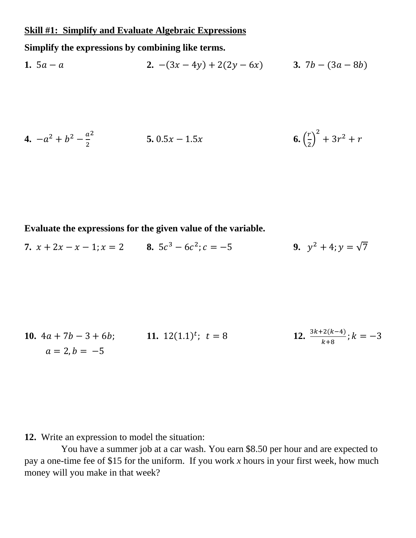#### **Skill #1: Simplify and Evaluate Algebraic Expressions**

**Simplify the expressions by combining like terms.**

**1.** 
$$
5a - a
$$
   
**2.**  $-(3x - 4y) + 2(2y - 6x)$    
**3.**  $7b - (3a - 8b)$ 

**4.** 
$$
-a^2 + b^2 - \frac{a^2}{2}
$$
   
**5.**  $0.5x - 1.5x$    
**6.**  $(\frac{r}{2})^2 + 3r^2 + r$ 

#### **Evaluate the expressions for the given value of the variable.**

**7.**  $x + 2x - x - 1$ ;  $x = 2$  **8.**  $5c^3 - 6c^2$ ;  $c = -5$  **9.**  $y^2 + 4$ ;  $y = \sqrt{7}$ 

**10.** 
$$
4a + 7b - 3 + 6b
$$
;   
\n**11.**  $12(1.1)^t$ ;  $t = 8$   
\n**12.**  $\frac{3k+2(k-4)}{k+8}$ ;  $k = -3$   
\n**13.**  $\frac{3k+2(k-4)}{k+8}$ ;  $k = -3$ 

**12.** Write an expression to model the situation:

You have a summer job at a car wash. You earn \$8.50 per hour and are expected to pay a one-time fee of \$15 for the uniform. If you work *x* hours in your first week, how much money will you make in that week?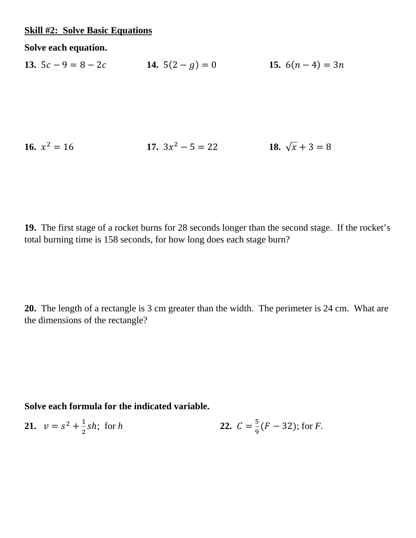#### **Skill #2: Solve Basic Equations**

**Solve each equation.**

**13.**  $5c - 9 = 8 - 2c$  **14.**  $5(2 - g) = 0$  **15.**  $6(n - 4) = 3n$ 

**16.** 
$$
x^2 = 16
$$
   
**17.**  $3x^2 - 5 = 22$    
**18.**  $\sqrt{x} + 3 = 8$ 

**19.** The first stage of a rocket burns for 28 seconds longer than the second stage. If the rocket's total burning time is 158 seconds, for how long does each stage burn?

**20.** The length of a rectangle is 3 cm greater than the width. The perimeter is 24 cm. What are the dimensions of the rectangle?

**Solve each formula for the indicated variable.**

21. 
$$
v = s^2 + \frac{1}{2}sh
$$
; for h  
22.  $C = \frac{5}{9}(F - 32)$ ; for F.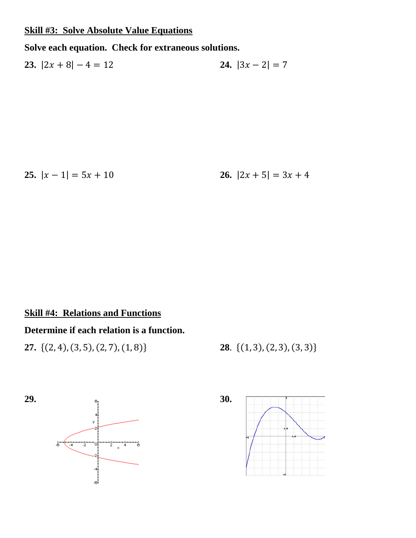#### **Skill #3: Solve Absolute Value Equations**

#### **Solve each equation. Check for extraneous solutions.**

**23.**  $|2x + 8| - 4 = 12$  **24.**  $|3x - 2| = 7$ 

**25.**  $|x-1| = 5x + 10$  **26.**  $|2x + 5| = 3x + 4$ 

#### **Skill #4: Relations and Functions**

#### **Determine if each relation is a function.**

**27.** {(2, 4), (3, 5), (2, 7), (1, 8)} **28**. {(1, 3), (2, 3), (3, 3)}



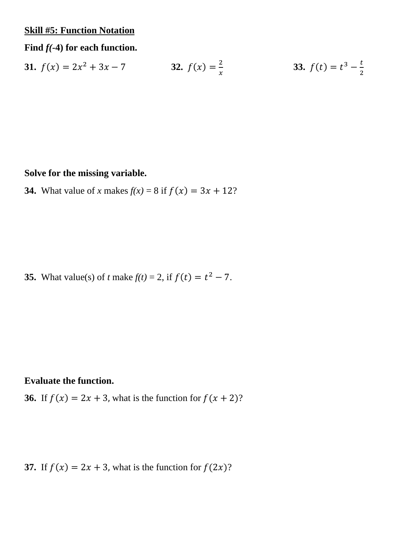#### **Skill #5: Function Notation**

#### **Find** *f(***-4) for each function.**

**31.** 
$$
f(x) = 2x^2 + 3x - 7
$$
   
**32.**  $f(x) = \frac{2}{x}$    
**33.**  $f(t) = t^3 - \frac{t}{2}$ 

#### **Solve for the missing variable.**

**34.** What value of *x* makes  $f(x) = 8$  if  $f(x) = 3x + 12$ ?

**35.** What value(s) of *t* make  $f(t) = 2$ , if  $f(t) = t^2 - 7$ .

#### **Evaluate the function.**

**36.** If  $f(x) = 2x + 3$ , what is the function for  $f(x + 2)$ ?

**37.** If  $f(x) = 2x + 3$ , what is the function for  $f(2x)$ ?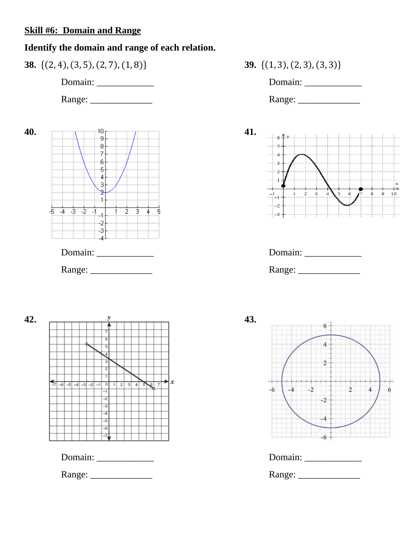#### **Skill #6: Domain and Range**

#### **Identify the domain and range of each relation.**



Range: \_\_\_\_\_\_\_\_\_\_\_\_\_ Range: \_\_\_\_\_\_\_\_\_\_\_\_\_

**40. 41.**  $\overline{8}$  $\overline{z}$  $6 -$ 5  $\overline{4}$ з Ÿ.  $\overline{1}$  $-5$   $-4$   $-3$   $-2$   $-1$  $\overline{2}$  $\frac{1}{3}$  4 5  $-2$  $-3$ ا ہے۔ Domain: \_\_\_\_\_\_\_\_\_\_\_\_ Domain: \_\_\_\_\_\_\_\_\_\_\_\_









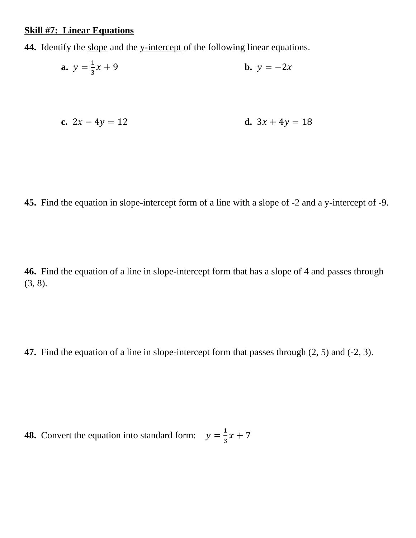#### **Skill #7: Linear Equations**

**44.** Identify the slope and the y-intercept of the following linear equations.

**a.** 
$$
y = \frac{1}{3}x + 9
$$
  
**b.**  $y = -2x$   
**c.**  $2x - 4y = 12$   
**d.**  $3x + 4y = 18$ 

**45.** Find the equation in slope-intercept form of a line with a slope of -2 and a y-intercept of -9.

**46.** Find the equation of a line in slope-intercept form that has a slope of 4 and passes through (3, 8).

**47.** Find the equation of a line in slope-intercept form that passes through (2, 5) and (-2, 3).

**48.** Convert the equation into standard form:  $y = \frac{1}{3}x + 7$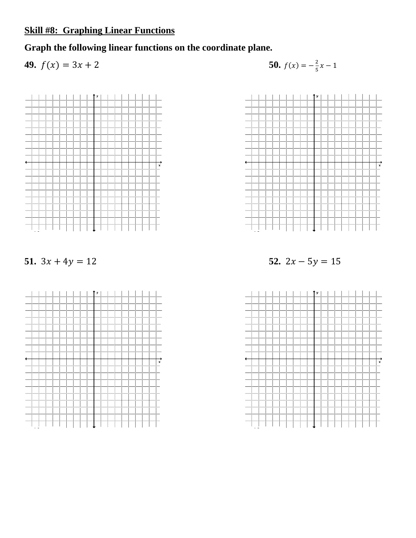# **Skill #8: Graphing Linear Functions**

**Graph the following linear functions on the coordinate plane.**

**49.** 
$$
f(x) = 3x + 2
$$
   
**50.**  $f(x) = -\frac{2}{5}$ 

**50.** 
$$
f(x) = -\frac{2}{5}x - 1
$$



**51.**  $3x + 4y = 12$  **52.**  $2x - 5y = 15$ 





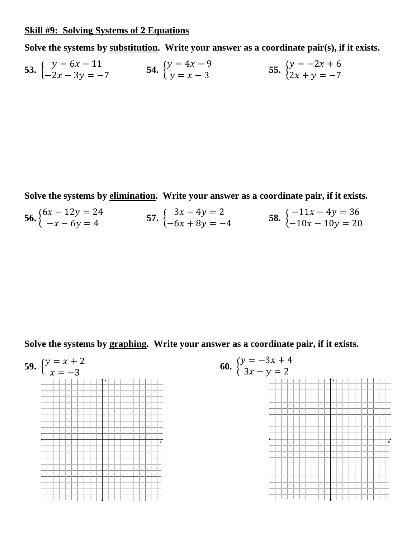#### **Skill #9: Solving Systems of 2 Equations**

**Solve the systems by substitution. Write your answer as a coordinate pair(s), if it exists.**

53. 
$$
\begin{cases} y = 6x - 11 \\ -2x - 3y = -7 \end{cases}
$$
54. 
$$
\begin{cases} y = 4x - 9 \\ y = x - 3 \end{cases}
$$
55. 
$$
\begin{cases} y = -2x + 6 \\ 2x + y = -7 \end{cases}
$$

**Solve the systems by elimination. Write your answer as a coordinate pair, if it exists.**

**56.**  $\begin{cases} 6x - 12y = 24 \\ -x - 6y = 4 \end{cases}$  **57.**  $\begin{cases} 3x - 4y = 2 \\ -6x + 8y = -1 \end{cases}$  $3x - 4y = 2$ <br>  $-6x + 8y = -4$ <br>
58.  $\begin{cases} -11x - 4y = 36 \\ -10x - 10y = 20 \end{cases}$ 

**Solve the systems by graphing. Write your answer as a coordinate pair, if it exists.**

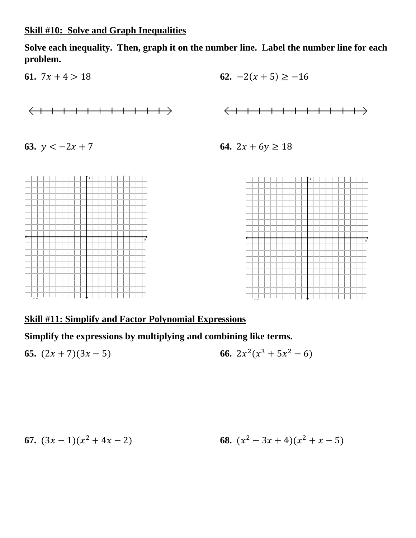**Solve each inequality. Then, graph it on the number line. Label the number line for each problem.**







### **Skill #11: Simplify and Factor Polynomial Expressions**

**Simplify the expressions by multiplying and combining like terms.**

**65.** 
$$
(2x + 7)(3x - 5)
$$
   
**66.**  $2x^2(x^3 + 5x^2 - 6)$ 

**67.** 
$$
(3x-1)(x^2+4x-2)
$$
 **68.**  $(x^2-3x+4)(x^2+x-5)$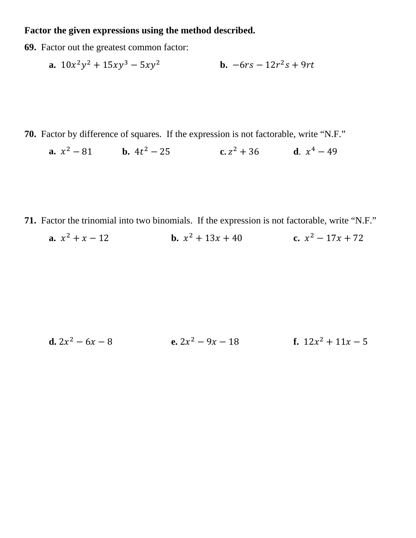#### **Factor the given expressions using the method described.**

**69.** Factor out the greatest common factor:

**a.** 
$$
10x^2y^2 + 15xy^3 - 5xy^2
$$
 **b.**  $-6rs - 12r^2s + 9rt$ 

**70.** Factor by difference of squares. If the expression is not factorable, write "N.F."

**a.**  $x^2 - 81$  **b.**  $4t^2 - 25$  **c.**  $z^2 + 36$  **d.**  $x^4 - 49$ 

- **71.** Factor the trinomial into two binomials. If the expression is not factorable, write "N.F."
	- **a.**  $x^2 + x 12$  **b.**  $x^2 + 13x + 40$  **c.**  $x^2 17x + 72$

**d.** 
$$
2x^2 - 6x - 8
$$
   
**e.**  $2x^2 - 9x - 18$    
**f.**  $12x^2 + 11x - 5$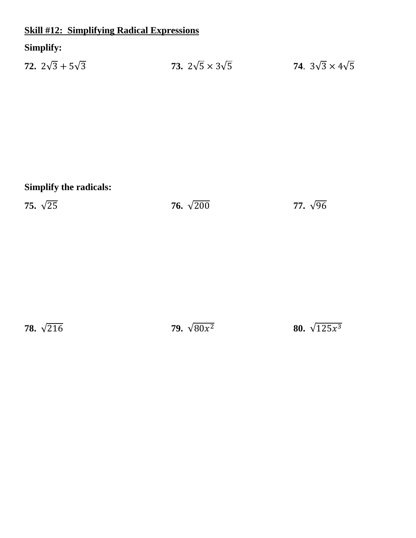# **Skill #12: Simplifying Radical Expressions**

# **Simplify:**

| 72. $2\sqrt{3} + 5\sqrt{3}$ |  | 73. $2\sqrt{5} \times 3\sqrt{5}$ | 74. $3\sqrt{3} \times 4\sqrt{5}$ |
|-----------------------------|--|----------------------------------|----------------------------------|
|                             |  |                                  |                                  |

# **Simplify the radicals:**

**75.** √25 **76.** √200 **77.** √96

**78.**  $\sqrt{216}$  **79.**  $\sqrt{80x^2}$  **80.**  $\sqrt{125x^3}$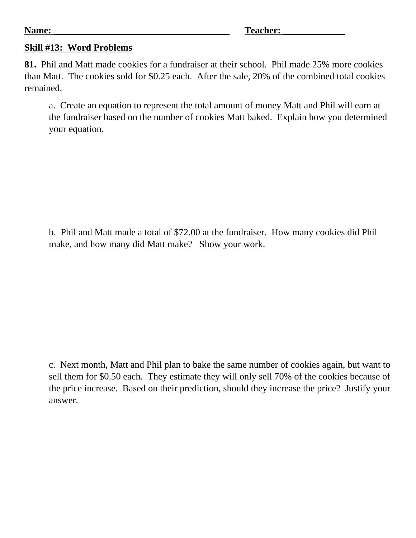#### **Skill #13: Word Problems**

**81.** Phil and Matt made cookies for a fundraiser at their school. Phil made 25% more cookies than Matt. The cookies sold for \$0.25 each. After the sale, 20% of the combined total cookies remained.

a. Create an equation to represent the total amount of money Matt and Phil will earn at the fundraiser based on the number of cookies Matt baked. Explain how you determined your equation.

b. Phil and Matt made a total of \$72.00 at the fundraiser. How many cookies did Phil make, and how many did Matt make? Show your work.

c. Next month, Matt and Phil plan to bake the same number of cookies again, but want to sell them for \$0.50 each. They estimate they will only sell 70% of the cookies because of the price increase. Based on their prediction, should they increase the price? Justify your answer.